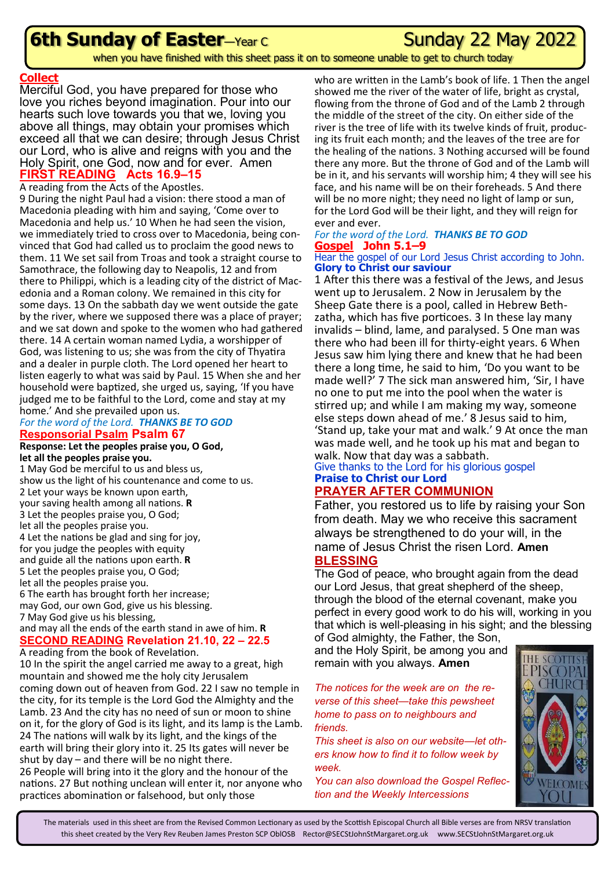## **6th Sunday of Easter**—Year C May Sunday 22 May 2022

when you have finished with this sheet pass it on to someone unable to get to church today

#### **Collect**

Merciful God, you have prepared for those who love you riches beyond imagination. Pour into our hearts such love towards you that we, loving you above all things, may obtain your promises which exceed all that we can desire; through Jesus Christ our Lord, who is alive and reigns with you and the Holy Spirit, one God, now and for ever. Amen **FIRST READING Acts 16.9–15**

#### A reading from the Acts of the Apostles.

9 During the night Paul had a vision: there stood a man of Macedonia pleading with him and saying, 'Come over to Macedonia and help us.' 10 When he had seen the vision, we immediately tried to cross over to Macedonia, being convinced that God had called us to proclaim the good news to them. 11 We set sail from Troas and took a straight course to Samothrace, the following day to Neapolis, 12 and from there to Philippi, which is a leading city of the district of Macedonia and a Roman colony. We remained in this city for some days. 13 On the sabbath day we went outside the gate by the river, where we supposed there was a place of prayer; and we sat down and spoke to the women who had gathered there. 14 A certain woman named Lydia, a worshipper of God, was listening to us; she was from the city of Thyatira and a dealer in purple cloth. The Lord opened her heart to listen eagerly to what was said by Paul. 15 When she and her household were baptized, she urged us, saying, 'If you have judged me to be faithful to the Lord, come and stay at my home.' And she prevailed upon us.

#### *For the word of the Lord. THANKS BE TO GOD* **Responsorial Psalm Psalm 67**

#### **Response: Let the peoples praise you, O God, let all the peoples praise you.**

1 May God be merciful to us and bless us, show us the light of his countenance and come to us. 2 Let your ways be known upon earth, your saving health among all nations. **R** 3 Let the peoples praise you, O God; let all the peoples praise you. 4 Let the nations be glad and sing for joy, for you judge the peoples with equity and guide all the nations upon earth. **R** 5 Let the peoples praise you, O God; let all the peoples praise you. 6 The earth has brought forth her increase; may God, our own God, give us his blessing. 7 May God give us his blessing,

#### and may all the ends of the earth stand in awe of him. **R SECOND READING Revelation 21.10, 22 – 22.5**

A reading from the book of Revelation.

10 In the spirit the angel carried me away to a great, high mountain and showed me the holy city Jerusalem coming down out of heaven from God. 22 I saw no temple in the city, for its temple is the Lord God the Almighty and the Lamb. 23 And the city has no need of sun or moon to shine on it, for the glory of God is its light, and its lamp is the Lamb. 24 The nations will walk by its light, and the kings of the earth will bring their glory into it. 25 Its gates will never be shut by day – and there will be no night there. 26 People will bring into it the glory and the honour of the nations. 27 But nothing unclean will enter it, nor anyone who practices abomination or falsehood, but only those

who are written in the Lamb's book of life. 1 Then the angel showed me the river of the water of life, bright as crystal, flowing from the throne of God and of the Lamb 2 through the middle of the street of the city. On either side of the river is the tree of life with its twelve kinds of fruit, producing its fruit each month; and the leaves of the tree are for the healing of the nations. 3 Nothing accursed will be found there any more. But the throne of God and of the Lamb will be in it, and his servants will worship him; 4 they will see his face, and his name will be on their foreheads. 5 And there will be no more night; they need no light of lamp or sun, for the Lord God will be their light, and they will reign for ever and ever.

## *For the word of the Lord. THANKS BE TO GOD* **Gospel John 5.1–9**

#### Hear the gospel of our Lord Jesus Christ according to John. **Glory to Christ our saviour**

1 After this there was a festival of the Jews, and Jesus went up to Jerusalem. 2 Now in Jerusalem by the Sheep Gate there is a pool, called in Hebrew Bethzatha, which has five porticoes. 3 In these lay many invalids – blind, lame, and paralysed. 5 One man was there who had been ill for thirty-eight years. 6 When Jesus saw him lying there and knew that he had been there a long time, he said to him, 'Do you want to be made well?' 7 The sick man answered him, 'Sir, I have no one to put me into the pool when the water is stirred up; and while I am making my way, someone else steps down ahead of me.' 8 Jesus said to him, 'Stand up, take your mat and walk.' 9 At once the man was made well, and he took up his mat and began to walk. Now that day was a sabbath.

### Give thanks to the Lord for his glorious gospel **Praise to Christ our Lord**

### **PRAYER AFTER COMMUNION**

Father, you restored us to life by raising your Son from death. May we who receive this sacrament always be strengthened to do your will, in the name of Jesus Christ the risen Lord. **Amen BLESSING**

#### The God of peace, who brought again from the dead our Lord Jesus, that great shepherd of the sheep, through the blood of the eternal covenant, make you perfect in every good work to do his will, working in you that which is well-pleasing in his sight; and the blessing of God almighty, the Father, the Son,

and the Holy Spirit, be among you and remain with you always. **Amen**

#### *The notices for the week are on the reverse of this sheet—take this pewsheet home to pass on to neighbours and friends.*

*This sheet is also on our website—let others know how to find it to follow week by week.*

*You can also download the Gospel Reflection and the Weekly Intercessions*



The materials used in this sheet are from the Revised Common Lectionary as used by the Scottish Episcopal Church all Bible verses are from NRSV translation this sheet created by the Very Rev Reuben James Preston SCP OblOSB Rector@SECStJohnStMargaret.org.uk www.SECStJohnStMargaret.org.uk